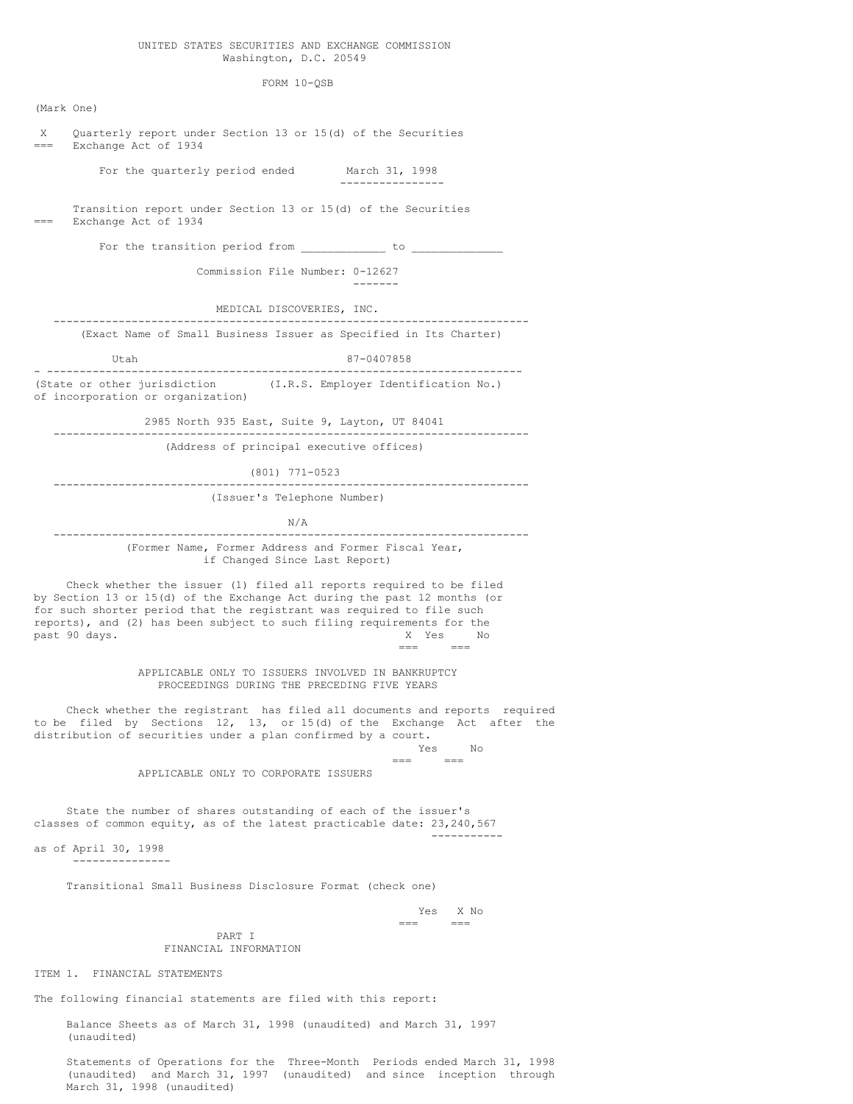#### UNITED STATES SECURITIES AND EXCHANGE COMMISSION Washington, D.C. 20549

#### FORM 10-QSB

(Mark One) X Quarterly report under Section 13 or 15(d) of the Securities Exchange Act of 1934 For the quarterly period ended March 31, 1998 ---------------- Transition report under Section 13 or 15(d) of the Securities Exchange Act of 1934 For the transition period from \_\_\_\_\_\_\_\_\_\_\_\_\_\_ to \_ Commission File Number: 0-12627 ------- MEDICAL DISCOVERIES, INC. ------------------------------------------------------------------------- (Exact Name of Small Business Issuer as Specified in Its Charter) Utah 87-0407858 - ------------------------------------------------------------------------- (State or other jurisdiction (I.R.S. Employer Identification No.) of incorporation or organization) 2985 North 935 East, Suite 9, Layton, UT 84041 ------------------------------------------------------------------------- (Address of principal executive offices) (801) 771-0523 ------------------------------------------------------------------------- (Issuer's Telephone Number) N/A ------------------------------------------------------------------------- (Former Name, Former Address and Former Fiscal Year, if Changed Since Last Report) Check whether the issuer (1) filed all reports required to be filed by Section 13 or 15(d) of the Exchange Act during the past 12 months (or for such shorter period that the registrant was required to file such reports), and (2) has been subject to such filing requirements for the past 90 days. The contract of the contract of the contract of the contract of the contract of the contract of the contract of the contract of the contract of the contract of the contract of the contract of the contract of === === APPLICABLE ONLY TO ISSUERS INVOLVED IN BANKRUPTCY PROCEEDINGS DURING THE PRECEDING FIVE YEARS Check whether the registrant has filed all documents and reports required to be filed by Sections 12, 13, or 15(d) of the Exchange Act after the distribution of securities under a plan confirmed by a court. Yes No  $=$ APPLICABLE ONLY TO CORPORATE ISSUERS State the number of shares outstanding of each of the issuer's classes of common equity, as of the latest practicable date: 23,240,567 ---------- as of April 30, 1998 --------------- Transitional Small Business Disclosure Format (check one) Yes X No  $=$ PART I FINANCIAL INFORMATION ITEM 1. FINANCIAL STATEMENTS

The following financial statements are filed with this report:

Balance Sheets as of March 31, 1998 (unaudited) and March 31, 1997 (unaudited)

Statements of Operations for the Three-Month Periods ended March 31, 1998 (unaudited) and March 31, 1997 (unaudited) and since inception through March 31, 1998 (unaudited)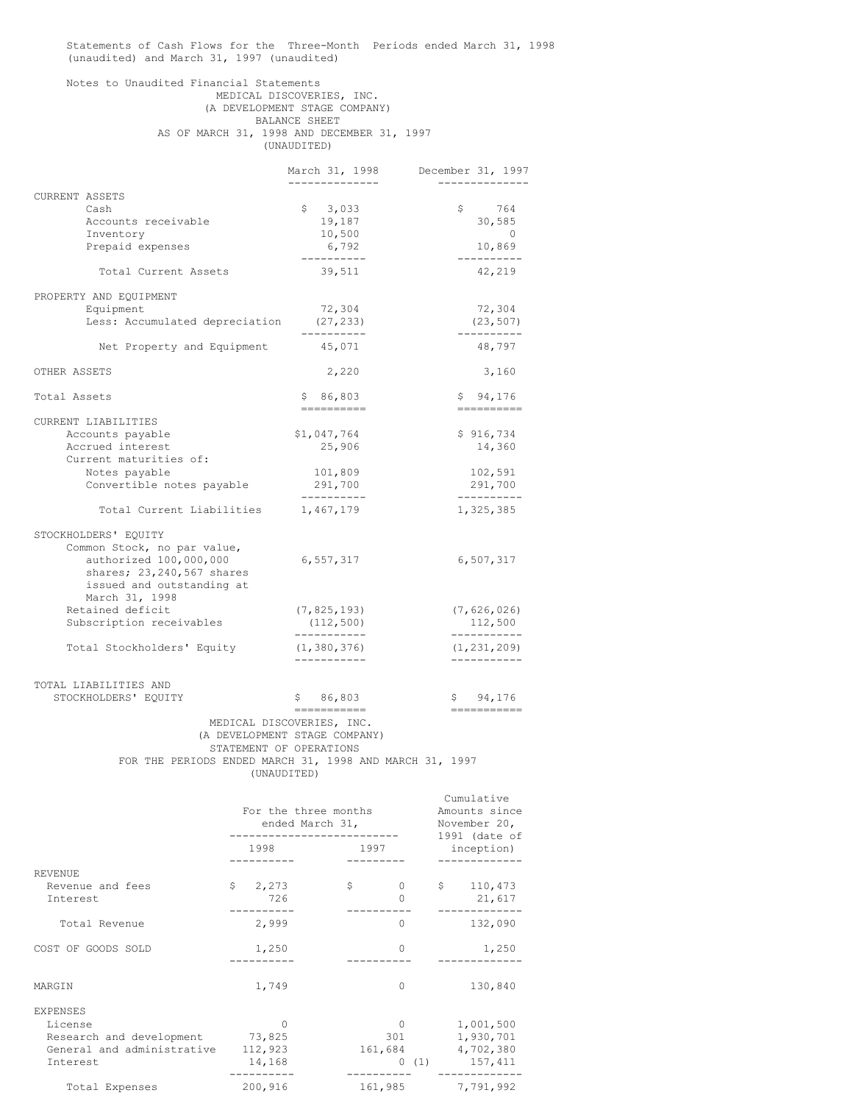Statements of Cash Flows for the Three-Month Periods ended March 31, 1998 (unaudited) and March 31, 1997 (unaudited)

## Notes to Unaudited Financial Statements MEDICAL DISCOVERIES, INC. (A DEVELOPMENT STAGE COMPANY) BALANCE SHEET AS OF MARCH 31, 1998 AND DECEMBER 31, 1997 (UNAUDITED)

|                |                                                                                                      | March 31, 1998                                                                                       | December 31, 1997            |
|----------------|------------------------------------------------------------------------------------------------------|------------------------------------------------------------------------------------------------------|------------------------------|
| CURRENT ASSETS |                                                                                                      |                                                                                                      |                              |
|                | Cash                                                                                                 | \$3,033                                                                                              | \$<br>764                    |
|                | Accounts receivable                                                                                  | 19,187                                                                                               | 30,585                       |
|                | Inventory                                                                                            | 10,500                                                                                               | $\Omega$                     |
|                | Prepaid expenses                                                                                     | 6,792                                                                                                | 10,869                       |
|                | Total Current Assets                                                                                 | ----------<br>39,511                                                                                 | 42,219                       |
|                | PROPERTY AND EQUIPMENT                                                                               |                                                                                                      |                              |
|                | Equipment                                                                                            | 72,304                                                                                               | 72,304                       |
|                | Less: Accumulated depreciation                                                                       | (27, 233)<br>----------                                                                              | (23, 507)<br>.               |
|                | Net Property and Equipment                                                                           | 45,071                                                                                               | 48,797                       |
| OTHER ASSETS   |                                                                                                      | 2,220                                                                                                | 3,160                        |
| Total Assets   |                                                                                                      | \$86,803                                                                                             | \$94,176<br>==========       |
|                | CURRENT LIABILITIES                                                                                  |                                                                                                      |                              |
|                | Accounts payable                                                                                     | \$1,047,764                                                                                          | \$916,734                    |
|                | Accrued interest                                                                                     | 25,906                                                                                               | 14,360                       |
|                | Current maturities of:                                                                               |                                                                                                      |                              |
|                | Notes payable                                                                                        | 101,809                                                                                              | 102,591                      |
|                | Convertible notes payable                                                                            | 291,700<br>. _ _ _ _ _ _ _ _ _                                                                       | 291,700<br>----------        |
|                | Total Current Liabilities                                                                            | 1,467,179                                                                                            | 1,325,385                    |
|                | STOCKHOLDERS' EQUITY                                                                                 |                                                                                                      |                              |
|                | Common Stock, no par value,                                                                          |                                                                                                      |                              |
|                | authorized 100,000,000<br>shares; 23, 240, 567 shares<br>issued and outstanding at<br>March 31, 1998 | 6,557,317                                                                                            | 6,507,317                    |
|                | Retained deficit                                                                                     | (7, 825, 193)                                                                                        | (7, 626, 026)                |
|                | Subscription receivables                                                                             | (112, 500)<br>-----------                                                                            | 112,500<br>-----------       |
|                | Total Stockholders' Equity                                                                           | (1, 380, 376)                                                                                        | (1, 231, 209)<br>----------- |
|                | TOTAL LIABILITIES AND<br>STOCKHOLDERS' EQUITY                                                        | \$86,803                                                                                             | \$94,176                     |
|                | FOR THE PERIODS ENDED MARCH 31, 1998 AND MARCH 31, 1997                                              | ===========<br>MEDICAL DISCOVERIES, INC.<br>(A DEVELOPMENT STAGE COMPANY)<br>STATEMENT OF OPERATIONS | ------------                 |

|                                 | For the three months<br>ended March 31, | Cumulative<br>Amounts since<br>November 20,<br>$1991$ (date of<br>inception) |                     |
|---------------------------------|-----------------------------------------|------------------------------------------------------------------------------|---------------------|
|                                 | 1997<br>1998                            |                                                                              |                     |
| <b>REVENUE</b>                  |                                         |                                                                              |                     |
| Revenue and fees<br>Interest    | $\frac{1}{2}$ , 273<br>726              | \$<br>$\Omega$<br>$\Omega$                                                   | \$110,473<br>21,617 |
| Total Revenue                   | 2,999                                   | $\circ$                                                                      | 132,090             |
| COST OF GOODS SOLD              | 1,250                                   | $\Omega$                                                                     | 1,250               |
| MARGIN                          | 1,749                                   | $\Omega$                                                                     | 130,840             |
| <b>EXPENSES</b>                 |                                         |                                                                              |                     |
| License                         | $\Omega$                                | $\mathbf{0}$                                                                 | 1,001,500           |
| Research and development 73,825 |                                         | 301                                                                          | 1,930,701           |
| General and administrative      | 112,923                                 |                                                                              | 161,684 4,702,380   |
| Interest                        | 14,168                                  |                                                                              | $0(1)$ 157,411      |
| Total Expenses                  | 200,916                                 | 161,985                                                                      | 7,791,992           |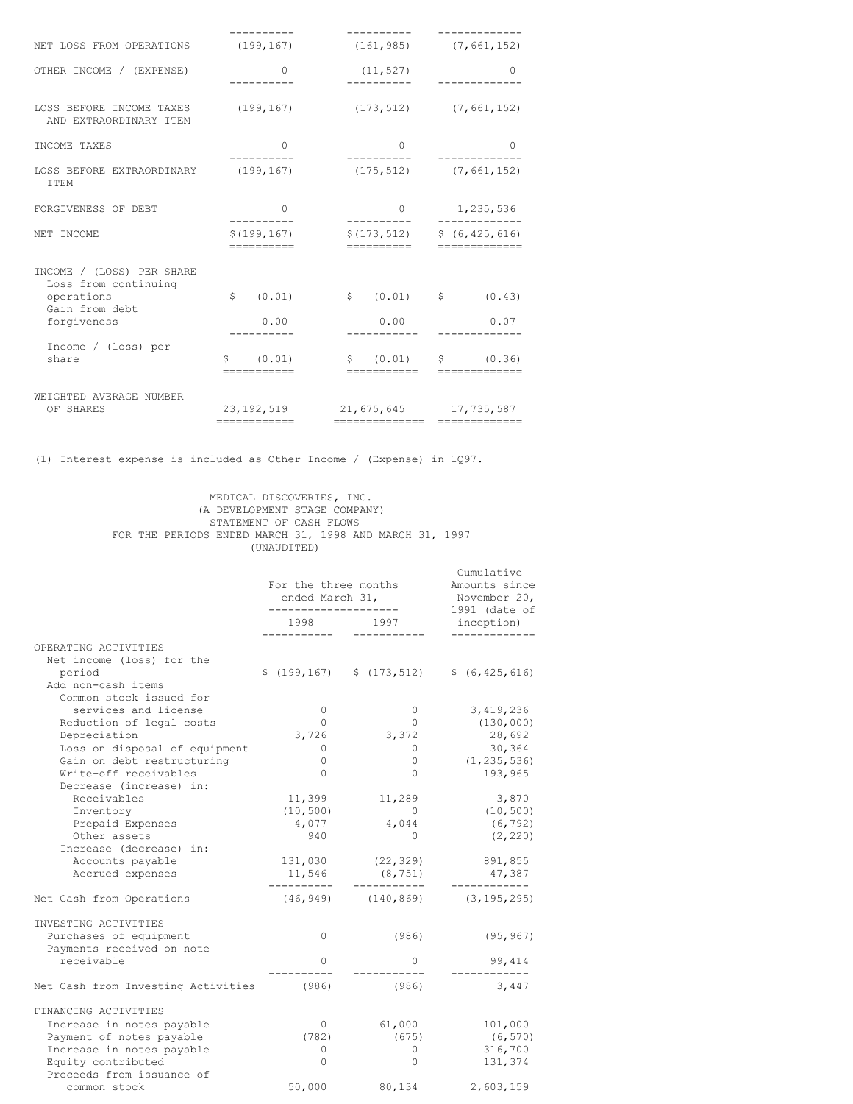| NET LOSS FROM OPERATIONS (199,167)                                                               |                             | $(161, 985)$ $(7, 661, 152)$                              |                                            |  |
|--------------------------------------------------------------------------------------------------|-----------------------------|-----------------------------------------------------------|--------------------------------------------|--|
| OTHER INCOME / (EXPENSE)                                                                         | 0                           | (11, 527)                                                 | $\left( \right)$                           |  |
| LOSS BEFORE INCOME TAXES (199,167) (173,512) (7,661,152)<br>AND EXTRAORDINARY ITEM               |                             |                                                           |                                            |  |
| INCOME TAXES                                                                                     | $\Omega$                    | $\bigcap$                                                 | 0                                          |  |
| LOSS BEFORE EXTRAORDINARY (199,167)<br><b>ITEM</b>                                               |                             |                                                           | $(175, 512)$ $(7, 661, 152)$               |  |
| FORGIVENESS OF DEBT                                                                              | $\circ$                     | $\circ$                                                   | 1,235,536<br>. _ _ _ _ _ _ _ _ _ _ _ _     |  |
| NET INCOME                                                                                       | \$(199, 167)<br>----------- | $$(173, 512)$ $$(6, 425, 616)$<br>-----------             | =============                              |  |
| INCOME / (LOSS) PER SHARE<br>Loss from continuing<br>operations<br>Gain from debt<br>forgiveness | Ŝ.<br>(0.01)<br>0.00        | $\begin{matrix} 5 & (0.01) & 5 \end{matrix}$<br>0.00      | (0.43)<br>0.07                             |  |
| Income / (loss) per<br>share                                                                     | \$ (0.01)<br>===========    | ===========                                               | $\sin(0.01)$ $\sin(0.36)$<br>============= |  |
| WEIGHTED AVERAGE NUMBER<br>OF SHARES                                                             | ------------                | 23, 192, 519 21, 675, 645 17, 735, 587<br>=============== | =============                              |  |

(1) Interest expense is included as Other Income / (Expense) in 1Q97.

### MEDICAL DISCOVERIES, INC. (A DEVELOPMENT STAGE COMPANY) STATEMENT OF CASH FLOWS FOR THE PERIODS ENDED MARCH 31, 1998 AND MARCH 31, 1997 (UNAUDITED)

|                                                             | For the three months<br>ended March 31, | Cumulative<br>Amounts since<br>November 20,<br>1991 (date of |                                          |  |
|-------------------------------------------------------------|-----------------------------------------|--------------------------------------------------------------|------------------------------------------|--|
|                                                             | 1998                                    | 1997                                                         | inception)                               |  |
| OPERATING ACTIVITIES<br>Net income (loss) for the<br>period |                                         | $$(199, 167) \qquad $(173, 512)$                             | \$ (6, 425, 616)                         |  |
| Add non-cash items<br>Common stock issued for               |                                         |                                                              |                                          |  |
| services and license                                        | $\circ$                                 | $\mathbf{0}$                                                 | 3,419,236                                |  |
| Reduction of legal costs                                    | $\Omega$                                | $\Omega$                                                     | (130, 000)                               |  |
| Depreciation                                                | 3,726                                   | 3,372                                                        | 28,692                                   |  |
| Loss on disposal of equipment                               | 0                                       | 0                                                            | 30,364                                   |  |
| Gain on debt restructuring                                  | $\circ$                                 | 0                                                            | (1, 235, 536)                            |  |
| Write-off receivables<br>Decrease (increase) in:            | $\Omega$                                | $\Omega$                                                     | 193,965                                  |  |
| Receivables                                                 | 11,399                                  | 11,289                                                       | 3,870                                    |  |
| Inventory                                                   | (10, 500)                               | $\overline{0}$                                               | (10, 500)                                |  |
| Prepaid Expenses                                            | 4,077                                   | 4,044                                                        | (6, 792)                                 |  |
| Other assets                                                | 940                                     | $\Omega$                                                     | (2, 220)                                 |  |
| Increase (decrease) in:                                     |                                         |                                                              |                                          |  |
| Accounts payable                                            | 131,030                                 | (22, 329)                                                    | 891,855                                  |  |
| Accrued expenses                                            | 11,546<br>---------                     | (8, 751)<br>-----------                                      | 47,387                                   |  |
| Net Cash from Operations                                    |                                         |                                                              | $(46, 949)$ $(140, 869)$ $(3, 195, 295)$ |  |
| INVESTING ACTIVITIES                                        |                                         |                                                              |                                          |  |
| Purchases of equipment<br>Payments received on note         | 0                                       | (986)                                                        | (95, 967)                                |  |
| receivable                                                  | 0                                       | 0                                                            | 99,414                                   |  |
| Net Cash from Investing Activities                          | (986)                                   | (986)                                                        | 3,447                                    |  |
| FINANCING ACTIVITIES                                        |                                         |                                                              |                                          |  |
| Increase in notes payable                                   | $\mathbf{0}$                            | 61,000                                                       | 101,000                                  |  |
| Payment of notes payable                                    | (782)                                   | (675)                                                        | (6, 570)                                 |  |
| Increase in notes payable                                   | 0                                       | $\circ$                                                      | 316,700                                  |  |
| Equity contributed<br>Proceeds from issuance of             | $\circ$                                 | 0                                                            | 131,374                                  |  |
| common stock                                                | 50,000                                  | 80,134                                                       | 2,603,159                                |  |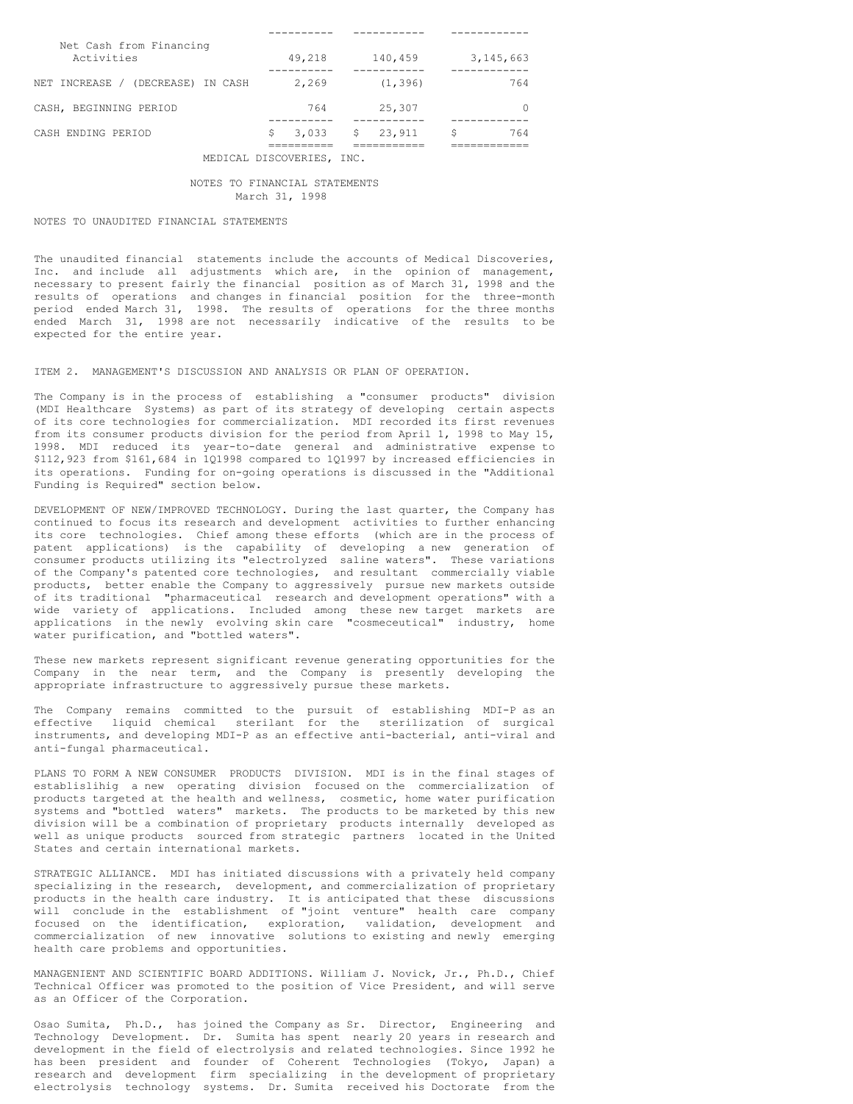| Net Cash from Financing<br>Activities |   | 49,218 |  | 140,459  |    | 3, 145, 663 |
|---------------------------------------|---|--------|--|----------|----|-------------|
| NET INCREASE / (DECREASE) IN CASH     |   | 2.269  |  | (1, 396) |    | 764         |
| CASH, BEGINNING PERIOD                |   | 764    |  | 25,307   |    |             |
| CASH ENDING PERIOD                    | S | 3,033  |  | \$23,911 | \$ | 764         |
|                                       |   |        |  |          |    |             |

MEDICAL DISCOVERIES, INC.

### NOTES TO FINANCIAL STATEMENTS March 31, 1998

# NOTES TO UNAUDITED FINANCIAL STATEMENTS

The unaudited financial statements include the accounts of Medical Discoveries, Inc. and include all adjustments which are, in the opinion of management, necessary to present fairly the financial position as of March 31, 1998 and the results of operations and changes in financial position for the three-month period ended March 31, 1998. The results of operations for the three months ended March 31, 1998 are not necessarily indicative of the results to be expected for the entire year.

ITEM 2. MANAGEMENT'S DISCUSSION AND ANALYSIS OR PLAN OF OPERATION.

The Company is in the process of establishing a "consumer products" division (MDI Healthcare Systems) as part of its strategy of developing certain aspects of its core technologies for commercialization. MDI recorded its first revenues from its consumer products division for the period from April 1, 1998 to May 15, 1998. MDI reduced its year-to-date general and administrative expense to \$112,923 from \$161,684 in 1Q1998 compared to 1Q1997 by increased efficiencies in its operations. Funding for on-going operations is discussed in the "Additional Funding is Required" section below.

DEVELOPMENT OF NEW/IMPROVED TECHNOLOGY. During the last quarter, the Company has continued to focus its research and development activities to further enhancing its core technologies. Chief among these efforts (which are in the process of patent applications) is the capability of developing a new generation of consumer products utilizing its "electrolyzed saline waters". These variations of the Company's patented core technologies, and resultant commercially viable products, better enable the Company to aggressively pursue new markets outside of its traditional "pharmaceutical research and development operations" with a wide variety of applications. Included among these new target markets are applications in the newly evolving skin care "cosmeceutical" industry, home water purification, and "bottled waters".

These new markets represent significant revenue generating opportunities for the Company in the near term, and the Company is presently developing the appropriate infrastructure to aggressively pursue these markets.

The Company remains committed to the pursuit of establishing MDI-P as an effective liquid chemical sterilant for the sterilization of surgical instruments, and developing MDI-P as an effective anti-bacterial, anti-viral and anti-fungal pharmaceutical.

PLANS TO FORM A NEW CONSUMER PRODUCTS DIVISION. MDI is in the final stages of establislihig a new operating division focused on the commercialization of products targeted at the health and wellness, cosmetic, home water purification systems and "bottled waters" markets. The products to be marketed by this new division will be a combination of proprietary products internally developed as well as unique products sourced from strategic partners located in the United States and certain international markets.

STRATEGIC ALLIANCE. MDI has initiated discussions with a privately held company specializing in the research, development, and commercialization of proprietary products in the health care industry. It is anticipated that these discussions will conclude in the establishment of "joint venture" health care company focused on the identification, exploration, validation, development and commercialization of new innovative solutions to existing and newly emerging health care problems and opportunities.

MANAGENIENT AND SCIENTIFIC BOARD ADDITIONS. William J. Novick, Jr., Ph.D., Chief Technical Officer was promoted to the position of Vice President, and will serve as an Officer of the Corporation.

Osao Sumita, Ph.D., has joined the Company as Sr. Director, Engineering and Technology Development. Dr. Sumita has spent nearly 20 years in research and development in the field of electrolysis and related technologies. Since 1992 he has been president and founder of Coherent Technologies (Tokyo, Japan) a research and development firm specializing in the development of proprietary electrolysis technology systems. Dr. Sumita received his Doctorate from the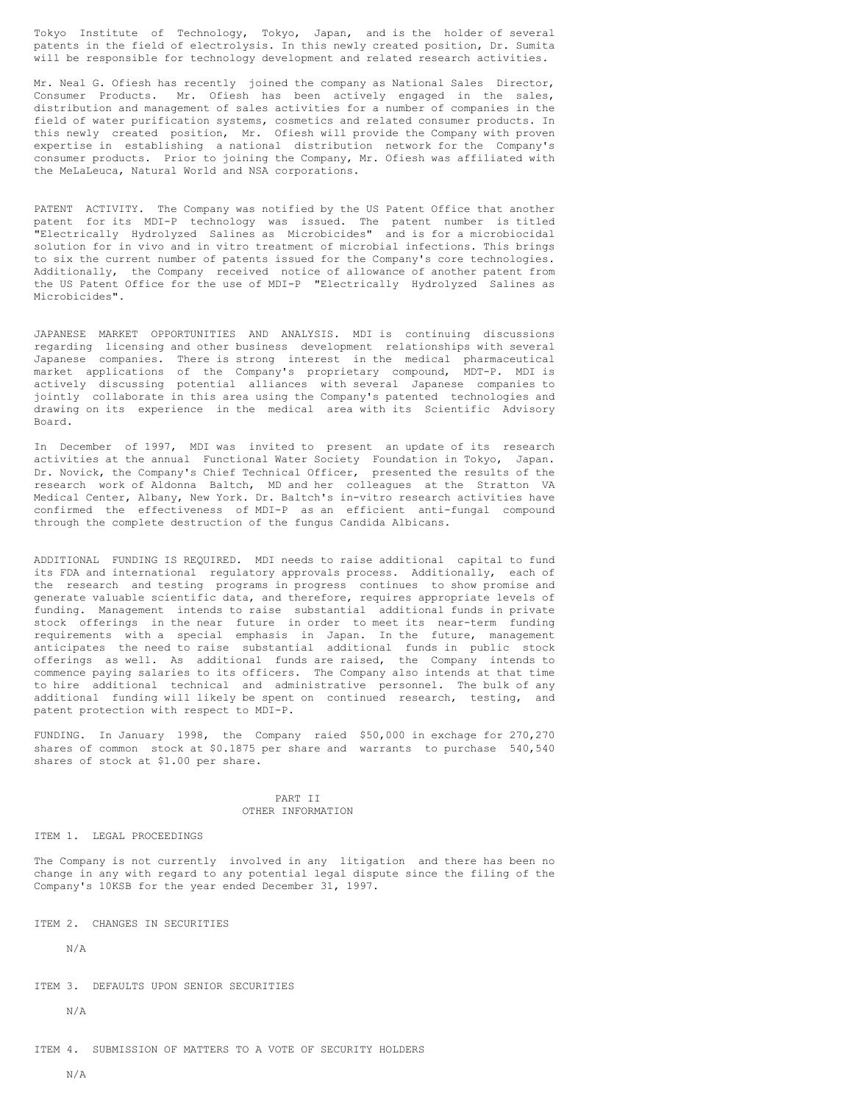Tokyo Institute of Technology, Tokyo, Japan, and is the holder of several patents in the field of electrolysis. In this newly created position, Dr. Sumita will be responsible for technology development and related research activities.

Mr. Neal G. Ofiesh has recently joined the company as National Sales Director, Consumer Products. Mr. Ofiesh has been actively engaged in the sales, distribution and management of sales activities for a number of companies in the field of water purification systems, cosmetics and related consumer products. In this newly created position, Mr. Ofiesh will provide the Company with proven expertise in establishing a national distribution network for the Company's consumer products. Prior to joining the Company, Mr. Ofiesh was affiliated with the MeLaLeuca, Natural World and NSA corporations.

PATENT ACTIVITY. The Company was notified by the US Patent Office that another patent for its MDI-P technology was issued. The patent number is titled "Electrically Hydrolyzed Salines as Microbicides" and is for a microbiocidal solution for in vivo and in vitro treatment of microbial infections. This brings to six the current number of patents issued for the Company's core technologies. Additionally, the Company received notice of allowance of another patent from the US Patent Office for the use of MDI-P "Electrically Hydrolyzed Salines as Microbicides".

JAPANESE MARKET OPPORTUNITIES AND ANALYSIS. MDI is continuing discussions regarding licensing and other business development relationships with several Japanese companies. There is strong interest in the medical pharmaceutical market applications of the Company's proprietary compound, MDT-P. MDI is actively discussing potential alliances with several Japanese companies to jointly collaborate in this area using the Company's patented technologies and drawing on its experience in the medical area with its Scientific Advisory Board.

In December of 1997, MDI was invited to present an update of its research activities at the annual Functional Water Society Foundation in Tokyo, Japan. Dr. Novick, the Company's Chief Technical Officer, presented the results of the research work of Aldonna Baltch, MD and her colleagues at the Stratton VA Medical Center, Albany, New York. Dr. Baltch's in-vitro research activities have confirmed the effectiveness of MDI-P as an efficient anti-fungal compound through the complete destruction of the fungus Candida Albicans.

ADDITIONAL FUNDING IS REQUIRED. MDI needs to raise additional capital to fund its FDA and international regulatory approvals process. Additionally, each of the research and testing programs in progress continues to show promise and generate valuable scientific data, and therefore, requires appropriate levels of funding. Management intends to raise substantial additional funds in private stock offerings in the near future in order to meet its near-term funding requirements with a special emphasis in Japan. In the future, management anticipates the need to raise substantial additional funds in public stock offerings as well. As additional funds are raised, the Company intends to commence paying salaries to its officers. The Company also intends at that time to hire additional technical and administrative personnel. The bulk of any additional funding will likely be spent on continued research, testing, and patent protection with respect to MDI-P.

FUNDING. In January 1998, the Company raied \$50,000 in exchage for 270,270 shares of common stock at \$0.1875 per share and warrants to purchase 540,540 shares of stock at \$1.00 per share.

#### PART II OTHER INFORMATION

ITEM 1. LEGAL PROCEEDINGS

The Company is not currently involved in any litigation and there has been no change in any with regard to any potential legal dispute since the filing of the Company's 10KSB for the year ended December 31, 1997.

ITEM 2. CHANGES IN SECURITIES

N/A

ITEM 3. DEFAULTS UPON SENIOR SECURITIES

N/A

ITEM 4. SUBMISSION OF MATTERS TO A VOTE OF SECURITY HOLDERS

N/A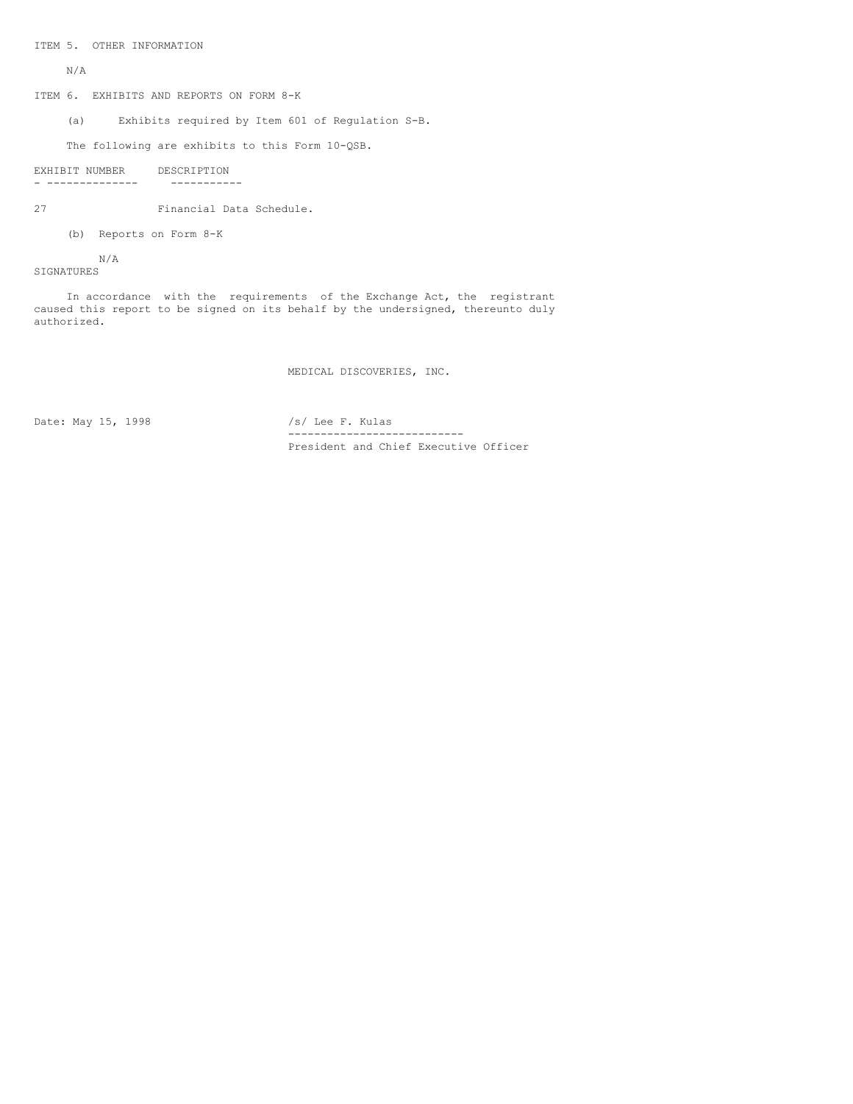ITEM 5. OTHER INFORMATION

N/A

ITEM 6. EXHIBITS AND REPORTS ON FORM 8-K

(a) Exhibits required by Item 601 of Regulation S-B.

The following are exhibits to this Form 10-QSB.

```
EXHIBIT NUMBER DESCRIPTION<br>- -------------- -----------
- -------------- -----------
```
27 Financial Data Schedule.

(b) Reports on Form 8-K

N/A SIGNATURES

In accordance with the requirements of the Exchange Act, the registrant caused this report to be signed on its behalf by the undersigned, thereunto duly authorized.

MEDICAL DISCOVERIES, INC.

Date: May 15, 1998 /s/ Lee F. Kulas

--------------------------- President and Chief Executive Officer